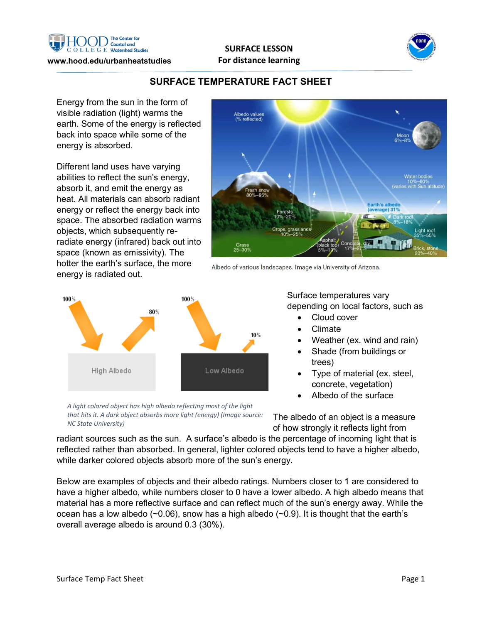

#### **www.hood.edu/urbanheatstudies**





# **SURFACE TEMPERATURE FACT SHEET**

Energy from the sun in the form of visible radiation (light) warms the earth. Some of the energy is reflected back into space while some of the energy is absorbed.

Different land uses have varying abilities to reflect the sun's energy, absorb it, and emit the energy as heat. All materials can absorb radiant energy or reflect the energy back into space. The absorbed radiation warms objects, which subsequently reradiate energy (infrared) back out into space (known as emissivity). The hotter the earth's surface, the more energy is radiated out.



Albedo of various landscapes. Image via University of Arizona.



*A light colored object has high albedo reflecting most of the light that hits it. A dark object absorbs more light (energy) (Image source: NC State University)*

Surface temperatures vary depending on local factors, such as

- Cloud cover
- Climate
- Weather (ex. wind and rain)
- Shade (from buildings or trees)
- Type of material (ex. steel, concrete, vegetation)
- Albedo of the surface

The albedo of an object is a measure of how strongly it reflects light from

radiant sources such as the sun. A surface's albedo is the percentage of incoming light that is reflected rather than absorbed. In general, lighter colored objects tend to have a higher albedo, while darker colored objects absorb more of the sun's energy.

Below are examples of objects and their albedo ratings. Numbers closer to 1 are considered to have a higher albedo, while numbers closer to 0 have a lower albedo. A high albedo means that material has a more reflective surface and can reflect much of the sun's energy away. While the ocean has a low albedo ( $\sim$ 0.06), snow has a high albedo ( $\sim$ 0.9). It is thought that the earth's overall average albedo is around 0.3 (30%).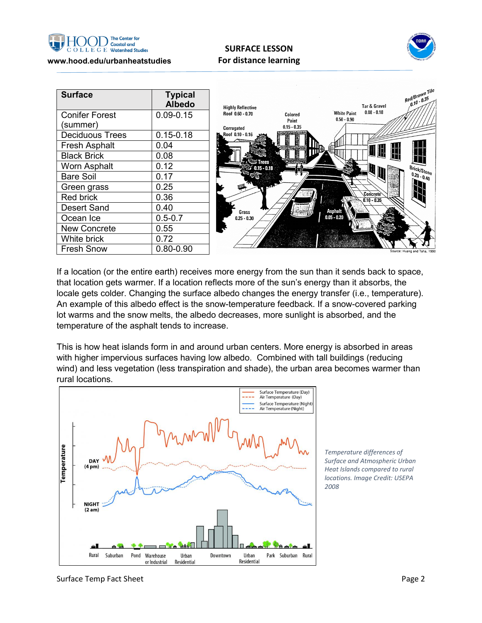

## **SURFACE LESSON For distance learning**



| <b>Surface</b>         | <b>Typical</b><br><b>Albedo</b> | <b>Highly Reflective</b> |                        | Red/Brown Tile<br><b>Tar &amp; Gravel</b>            |
|------------------------|---------------------------------|--------------------------|------------------------|------------------------------------------------------|
| <b>Conifer Forest</b>  | $0.09 - 0.15$                   | Roof 0.60 - 0.70         | Colored                | $0.08 - 0.18$<br><b>White Paint</b><br>$0.50 - 0.90$ |
| (summer)               |                                 | Corrugated               | Paint<br>$0.15 - 0.35$ |                                                      |
| <b>Deciduous Trees</b> | $0.15 - 0.18$                   | Roof 0.10 - 0.16         |                        |                                                      |
| <b>Fresh Asphalt</b>   | 0.04                            |                          |                        |                                                      |
| <b>Black Brick</b>     | 0.08                            |                          |                        | H<br>UU                                              |
| <b>Worn Asphalt</b>    | 0.12                            | $0.15 - 0.18$            |                        |                                                      |
| <b>Bare Soil</b>       | 0.17                            |                          |                        |                                                      |
| Green grass            | 0.25                            |                          |                        |                                                      |
| Red brick              | 0.36                            |                          |                        | Concrete`<br>$0.10 - 0.35$                           |
| <b>Desert Sand</b>     | 0.40                            | Grass                    |                        | <b>Asphalt</b>                                       |
| Ocean Ice              | $0.5 - 0.7$                     | $0.25 - 0.30$            |                        | $0.05 - 0.20$                                        |
| <b>New Concrete</b>    | 0.55                            |                          |                        |                                                      |
| White brick            | 0.72                            |                          |                        |                                                      |
| <b>Fresh Snow</b>      | $0.80 - 0.90$                   |                          |                        | Source: Huang and Taha, 1990                         |

If a location (or the entire earth) receives more energy from the sun than it sends back to space, that location gets warmer. If a location reflects more of the sun's energy than it absorbs, the locale gets colder. Changing the surface albedo changes the energy transfer (i.e., temperature). An example of this albedo effect is the snow-temperature feedback. If a snow-covered parking lot warms and the snow melts, the albedo decreases, more sunlight is absorbed, and the temperature of the asphalt tends to increase.

This is how heat islands form in and around urban centers. More energy is absorbed in areas with higher impervious surfaces having low albedo. Combined with tall buildings (reducing wind) and less vegetation (less transpiration and shade), the urban area becomes warmer than rural locations.



*Temperature differences of Surface and Atmospheric Urban Heat Islands compared to rural locations. Image Credit: USEPA 2008*

Surface Temp Fact Sheet **Page 2** and the Surface Temp Fact Sheet Page 2